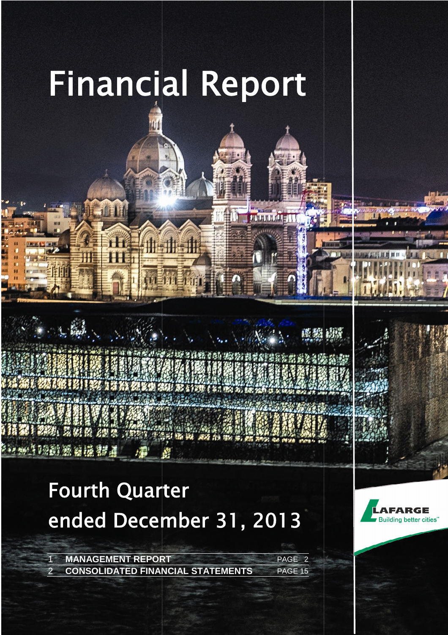

1-11-11

 $\sum_{i=1}^n\sum_{j=1}^n\sum_{j=1}^n\sum_{j=1}^n\sum_{j=1}^n\sum_{j=1}^n\sum_{j=1}^n\sum_{j=1}^n\sum_{j=1}^n\sum_{j=1}^n\sum_{j=1}^n\sum_{j=1}^n\sum_{j=1}^n\sum_{j=1}^n\sum_{j=1}^n\sum_{j=1}^n\sum_{j=1}^n\sum_{j=1}^n\sum_{j=1}^n\sum_{j=1}^n\sum_{j=1}^n\sum_{j=1}^n\sum_{j=1}^n\sum_{j=1}^n\sum_{j$ 

运购股

304720 数百法制工

**ULLIUDE ENT** 

# Fourth Quarter ended December 31, 2013

**CAR SHARE AND A VOID CARDS** 

1 **MANAGEMENT REPORT CONSOLIDATED FINANCIAL STATEMENTS** PAGE 15 PAGE 2



**1 1**



DECEMBER | PAGE 1

LAFARGE | FINANCIAL REPORT AT DECEMBER 31, 2013 | PAGE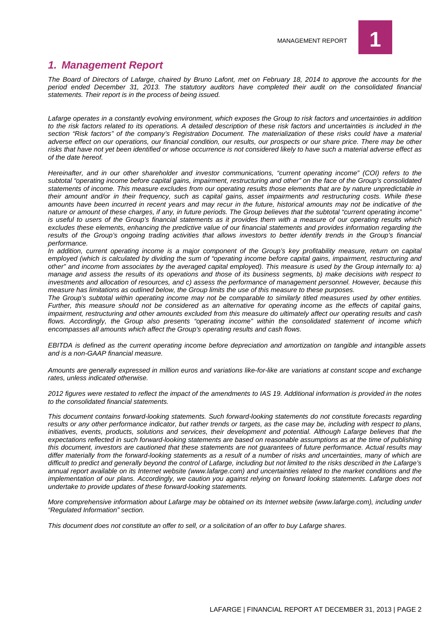

## *1. Management Report*

*The Board of Directors of Lafarge, chaired by Bruno Lafont, met on February 18, 2014 to approve the accounts for the period ended December 31, 2013. The statutory auditors have completed their audit on the consolidated financial statements. Their report is in the process of being issued.*

*Lafarge operates in a constantly evolving environment, which exposes the Group to risk factors and uncertainties in addition to the risk factors related to its operations. A detailed description of these risk factors and uncertainties is included in the section "Risk factors" of the company's Registration Document. The materialization of these risks could have a material adverse effect on our operations, our financial condition, our results, our prospects or our share price. There may be other risks that have not yet been identified or whose occurrence is not considered likely to have such a material adverse effect as of the date hereof.*

*Hereinafter, and in our other shareholder and investor communications, "current operating income" (COI) refers to the subtotal "operating income before capital gains, impairment, restructuring and other" on the face of the Group's consolidated statements of income. This measure excludes from our operating results those elements that are by nature unpredictable in their amount and/or in their frequency, such as capital gains, asset impairments and restructuring costs. While these amounts have been incurred in recent years and may recur in the future, historical amounts may not be indicative of the nature or amount of these charges, if any, in future periods. The Group believes that the subtotal "current operating income" is useful to users of the Group's financial statements as it provides them with a measure of our operating results which excludes these elements, enhancing the predictive value of our financial statements and provides information regarding the results of the Group's ongoing trading activities that allows investors to better identify trends in the Group's financial performance.*

*In addition, current operating income is a major component of the Group's key profitability measure, return on capital employed (which is calculated by dividing the sum of "operating income before capital gains, impairment, restructuring and other" and income from associates by the averaged capital employed). This measure is used by the Group internally to: a) manage and assess the results of its operations and those of its business segments, b) make decisions with respect to investments and allocation of resources, and c) assess the performance of management personnel. However, because this measure has limitations as outlined below, the Group limits the use of this measure to these purposes.*

*The Group's subtotal within operating income may not be comparable to similarly titled measures used by other entities. Further, this measure should not be considered as an alternative for operating income as the effects of capital gains, impairment, restructuring and other amounts excluded from this measure do ultimately affect our operating results and cash flows. Accordingly, the Group also presents "operating income" within the consolidated statement of income which encompasses all amounts which affect the Group's operating results and cash flows.*

*EBITDA is defined as the current operating income before depreciation and amortization on tangible and intangible assets and is a non-GAAP financial measure.*

*Amounts are generally expressed in million euros and variations like-for-like are variations at constant scope and exchange rates, unless indicated otherwise.*

*2012 figures were restated to reflect the impact of the amendments to IAS 19. Additional information is provided in the notes to the consolidated financial statements.*

*This document contains forward-looking statements. Such forward-looking statements do not constitute forecasts regarding results or any other performance indicator, but rather trends or targets, as the case may be, including with respect to plans, initiatives, events, products, solutions and services, their development and potential. Although Lafarge believes that the expectations reflected in such forward-looking statements are based on reasonable assumptions as at the time of publishing this document, investors are cautioned that these statements are not guarantees of future performance. Actual results may differ materially from the forward-looking statements as a result of a number of risks and uncertainties, many of which are difficult to predict and generally beyond the control of Lafarge, including but not limited to the risks described in the Lafarge's annual report available on its Internet website (www.lafarge.com) and uncertainties related to the market conditions and the implementation of our plans. Accordingly, we caution you against relying on forward looking statements. Lafarge does not undertake to provide updates of these forward-looking statements.*

*More comprehensive information about Lafarge may be obtained on its Internet website (www.lafarge.com), including under "Regulated Information" section.*

*This document does not constitute an offer to sell, or a solicitation of an offer to buy Lafarge shares.*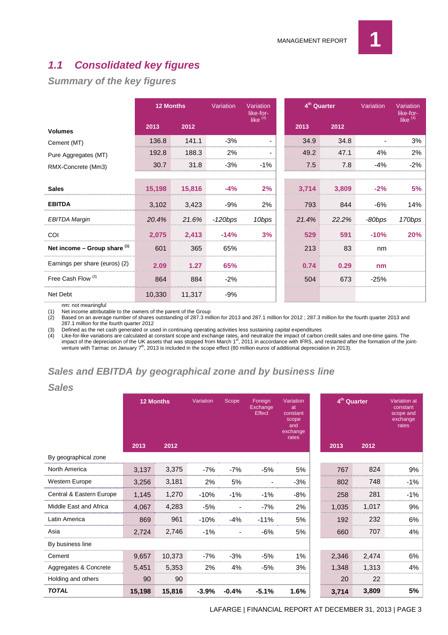## *1.1 Consolidated key figures*

## *Summary of the key figures*

|                                | <b>12 Months</b> |        | Variation | Variation<br>like-for- | 4 <sup>th</sup> Quarter |       | Variation | Variation<br>like-for- |
|--------------------------------|------------------|--------|-----------|------------------------|-------------------------|-------|-----------|------------------------|
| <b>Volumes</b>                 | 2013             | 2012   |           | like $(4)$             | 2013                    | 2012  |           | like $(4)$             |
| Cement (MT)                    | 136.8            | 141.1  | $-3%$     |                        | 34.9                    | 34.8  |           | 3%                     |
| Pure Aggregates (MT)           | 192.8            | 188.3  | 2%        |                        | 49.2                    | 47.1  | 4%        | 2%                     |
| RMX-Concrete (Mm3)             | 30.7             | 31.8   | $-3%$     | $-1\%$                 | 7.5                     | 7.8   | $-4%$     | -2%                    |
| <b>Sales</b>                   | 15,198           | 15,816 |           | 2%                     | 3,714                   | 3,809 |           |                        |
| <b>EBITDA</b>                  | 3,102            | 3,423  | $-9%$     | 2%                     | 793                     | 844   | $-6%$     | 14%                    |
| <b>EBITDA Margin</b>           | 20.4%            | 21.6%  | -120bps   | 10bps                  | 21.4%                   | 22.2% | -80bps    | 170bps                 |
| COI                            | 2,075            | 2.413  | $-14%$    | 3%                     | 529                     | 591   | $-10%$    | 20%                    |
| Net income – Group share $(1)$ | 601              | 365    | 65%       |                        | 213                     | 83    | nm        |                        |
| Earnings per share (euros) (2) | 2.09             | 1.27   | 65%       |                        | 0.74                    | 0.29  | nm        |                        |
| Free Cash Flow <sup>(3)</sup>  | 864              | 884    | $-2%$     |                        | 504                     | 673   | $-25%$    |                        |
| Net Debt                       | 10,330           | 11,317 | $-9%$     |                        |                         |       |           |                        |

nm: not meaningful

*Sales*

(1) Net income attributable to the owners of the parent of the Group

(2) Based on an average number of shares outstanding of 287.3 million for 2013 and 287.1 million for 2012 ; 287.3 million for the fourth quarter 2013 and 287.1 million for the fourth quarter 2012

(3) Defined as the net cash generated or used in continuing operating activities less sustaining capital expenditures<br>(4) Like-for-like variations are calculated at constant scope and exchange rates, and neutralize the imp

(4) Like-for-like variations are calculated at constant scope and exchange rates, and neutralize the impact of carbon credit sales and one-time gains. The<br>impact of the depreciation of the UK assets that was stopped from M venture with Tarmac on January 7<sup>th</sup>, 2013 is included in the scope effect (80 million euros of additional depreciation in 2013).

## *Sales and EBITDA by geographical zone and by business line*

| -----                    |                  |        |           |                 |                               |                                                                  |                         |       |                                                                   |
|--------------------------|------------------|--------|-----------|-----------------|-------------------------------|------------------------------------------------------------------|-------------------------|-------|-------------------------------------------------------------------|
|                          | <b>12 Months</b> |        | Variation | Scope           | Foreign<br>Exchange<br>Effect | Variation<br>at<br>constant<br>scope<br>and<br>exchange<br>rates | 4 <sup>th</sup> Quarter |       | <b>Variation</b> at<br>constant<br>scope and<br>exchange<br>rates |
|                          | 2013             | 2012   |           |                 |                               |                                                                  | 2013                    | 2012  |                                                                   |
| By geographical zone     |                  |        |           |                 |                               |                                                                  |                         |       |                                                                   |
| North America            | 3.137            | 3,375  | $-7%$     | $-7%$           | -5%                           | 5%                                                               | 767                     | 824   | 9%                                                                |
| Western Europe           | 3,256            | 3,181  | 2%        | 5%              |                               | -3%                                                              | 802                     | 748   | $-1%$                                                             |
| Central & Eastern Europe | 1,145            | 1,270  | $-10%$    | $-1%$           | $-1%$                         | $-8%$                                                            | 258                     | 281   | $-1%$                                                             |
| Middle East and Africa   | 4.067            | 4,283  | $-5%$     |                 | $-7%$                         | 2%                                                               | 1.035                   | 1,017 | 9%                                                                |
| Latin America            | 869              | 961    | $-10%$    | $-4%$           | $-11%$                        | 5%                                                               | 192                     | 232   | 6%                                                                |
| Asia                     | 2,724            | 2,746  | $-1\%$    |                 | $-6%$                         | 5%                                                               | 660                     | 707   | 4%                                                                |
| By business line         |                  |        |           |                 |                               |                                                                  |                         |       |                                                                   |
| Cement                   | 9.657            | 10,373 | $-7%$     | -3%             | -5%                           | 1%                                                               | 2.346                   | 2,474 | 6%                                                                |
| Aggregates & Concrete    | 5,451            | 5,353  | 2%        | 4%              | -5%                           | 3%                                                               | 1.348                   | 1,313 | 4%                                                                |
| Holding and others       | 90               | 90     |           |                 |                               |                                                                  | 20                      | 22    |                                                                   |
| <b>TOTAL</b>             | 15,198           | 15,816 |           | $-3.9\% -0.4\%$ | $-5.1%$                       | 1.6%                                                             | 3,714                   | 3,809 | 5%                                                                |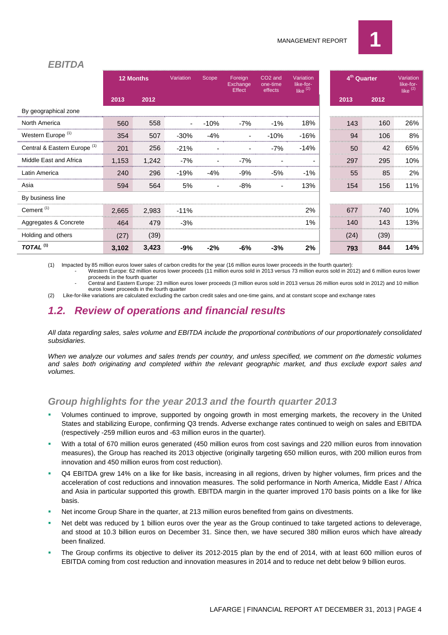

#### *EBITDA*

|                                         | <b>12 Months</b> |       | Variation | Scope  | Foreign<br>Exchange<br>Effect | CO <sub>2</sub> and<br>one-time<br>effects | Variation<br>like-for-<br>like $(2)$ |                  | 4 <sup>th</sup> Quarter | Variation<br>like-for-<br>like $(2)$ |
|-----------------------------------------|------------------|-------|-----------|--------|-------------------------------|--------------------------------------------|--------------------------------------|------------------|-------------------------|--------------------------------------|
|                                         | 2013             | 2012  |           |        |                               |                                            |                                      | 2013             | 2012                    |                                      |
| By geographical zone                    |                  |       |           |        |                               |                                            |                                      |                  |                         |                                      |
| North America                           | 560              | 558   |           | $-10%$ | $-7%$                         | $-1\%$                                     | 18%                                  | 143<br>,,,,,,,,, | 160                     | 26%                                  |
| Western Europe <sup>(1)</sup>           | 354              | 507   | $-30%$    | $-4%$  |                               | $-10%$                                     | $-16%$                               | 94               | 106                     | 8%                                   |
| Central & Eastern Europe <sup>(1)</sup> | 201              | 256   | $-21%$    |        |                               | $-7%$                                      | $-14%$                               | 50<br>           | 42                      | 65%                                  |
| Middle East and Africa                  | 1.153            | 1,242 | $-7%$     |        | $-7%$                         |                                            |                                      | 297              | 295                     | 10%                                  |
| Latin America                           | 240              | 296   | $-19%$    | $-4%$  | $-9%$                         | $-5%$                                      | $-1\%$                               | 55               | 85                      | 2%                                   |
| Asia                                    | 594              | 564   | 5%        |        | -8%                           |                                            | 13%                                  | 154              | 156                     | 11%                                  |
| By business line                        |                  |       |           |        |                               |                                            |                                      |                  |                         |                                      |
| Cement <sup>(1)</sup>                   | 2,665            | 2,983 | $-11\%$   |        |                               |                                            | 2%                                   | 677              | 740                     | 10%                                  |
| Aggregates & Concrete                   | 464              | 479   | $-3%$     |        |                               |                                            | 1%                                   | 140              | 143                     | 13%                                  |
| Holding and others                      | (27)             | (39)  |           |        |                               |                                            |                                      | (24)             | (39)                    |                                      |
| TOTAL <sup>(1)</sup>                    | 3,102            | 3,423 | -9%       | $-2%$  | -6%                           | $-3%$                                      | 2%                                   | 793              | 844                     | 14%                                  |

(1) Impacted by 85 million euros lower sales of carbon credits for the year (16 million euros lower proceeds in the fourth quarter): - Western Europe: 62 million euros lower proceeds (11 million euros sold in 2013 versus 73 million euros sold in 2012) and 6 million euros lower

proceeds in the fourth quarter

- Central and Eastern Europe: 23 million euros lower proceeds (3 million euros sold in 2013 versus 26 million euros sold in 2012) and 10 million euros lower proceeds in the fourth quarter

(2) Like-for-like variations are calculated excluding the carbon credit sales and one-time gains, and at constant scope and exchange rates

## *1.2. Review of operations and financial results*

*All data regarding sales, sales volume and EBITDA include the proportional contributions of our proportionately consolidated subsidiaries.*

*When we analyze our volumes and sales trends per country, and unless specified, we comment on the domestic volumes and sales both originating and completed within the relevant geographic market, and thus exclude export sales and volumes.*

### *Group highlights for the year 2013 and the fourth quarter 2013*

- Volumes continued to improve, supported by ongoing growth in most emerging markets, the recovery in the United States and stabilizing Europe, confirming Q3 trends. Adverse exchange rates continued to weigh on sales and EBITDA (respectively -259 million euros and -63 million euros in the quarter).
- With a total of 670 million euros generated (450 million euros from cost savings and 220 million euros from innovation measures), the Group has reached its 2013 objective (originally targeting 650 million euros, with 200 million euros from innovation and 450 million euros from cost reduction).
- Q4 EBITDA grew 14% on a like for like basis, increasing in all regions, driven by higher volumes, firm prices and the acceleration of cost reductions and innovation measures. The solid performance in North America, Middle East / Africa and Asia in particular supported this growth. EBITDA margin in the quarter improved 170 basis points on a like for like basis.
- Net income Group Share in the quarter, at 213 million euros benefited from gains on divestments.
- Net debt was reduced by 1 billion euros over the year as the Group continued to take targeted actions to deleverage, and stood at 10.3 billion euros on December 31. Since then, we have secured 380 million euros which have already been finalized.
- The Group confirms its objective to deliver its 2012-2015 plan by the end of 2014, with at least 600 million euros of EBITDA coming from cost reduction and innovation measures in 2014 and to reduce net debt below 9 billion euros.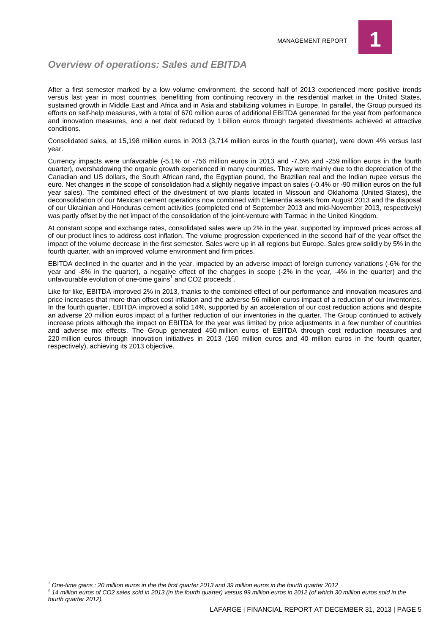

#### *Overview of operations: Sales and EBITDA*

After a first semester marked by a low volume environment, the second half of 2013 experienced more positive trends versus last year in most countries, benefitting from continuing recovery in the residential market in the United States, sustained growth in Middle East and Africa and in Asia and stabilizing volumes in Europe. In parallel, the Group pursued its efforts on self-help measures, with a total of 670 million euros of additional EBITDA generated for the year from performance and innovation measures, and a net debt reduced by 1 billion euros through targeted divestments achieved at attractive conditions.

Consolidated sales, at 15,198 million euros in 2013 (3,714 million euros in the fourth quarter), were down 4% versus last year.

Currency impacts were unfavorable (-5.1% or -756 million euros in 2013 and -7.5% and -259 million euros in the fourth quarter), overshadowing the organic growth experienced in many countries. They were mainly due to the depreciation of the Canadian and US dollars, the South African rand, the Egyptian pound, the Brazilian real and the Indian rupee versus the euro. Net changes in the scope of consolidation had a slightly negative impact on sales (-0.4% or -90 million euros on the full year sales). The combined effect of the divestment of two plants located in Missouri and Oklahoma (United States), the deconsolidation of our Mexican cement operations now combined with Elementia assets from August 2013 and the disposal of our Ukrainian and Honduras cement activities (completed end of September 2013 and mid-November 2013, respectively) was partly offset by the net impact of the consolidation of the joint-venture with Tarmac in the United Kingdom.

At constant scope and exchange rates, consolidated sales were up 2% in the year, supported by improved prices across all of our product lines to address cost inflation. The volume progression experienced in the second half of the year offset the impact of the volume decrease in the first semester. Sales were up in all regions but Europe. Sales grew solidly by 5% in the fourth quarter, with an improved volume environment and firm prices.

EBITDA declined in the quarter and in the year, impacted by an adverse impact of foreign currency variations (-6% for the year and -8% in the quarter), a negative effect of the changes in scope (-2% in the year, -4% in the quarter) and the unfavourable evolution of one-time gains<sup>1</sup> and CO2 proceeds<sup>2</sup>.

Like for like, EBITDA improved 2% in 2013, thanks to the combined effect of our performance and innovation measures and price increases that more than offset cost inflation and the adverse 56 million euros impact of a reduction of our inventories. In the fourth quarter, EBITDA improved a solid 14%, supported by an acceleration of our cost reduction actions and despite an adverse 20 million euros impact of a further reduction of our inventories in the quarter. The Group continued to actively increase prices although the impact on EBITDA for the year was limited by price adjustments in a few number of countries and adverse mix effects. The Group generated 450 million euros of EBITDA through cost reduction measures and 220 million euros through innovation initiatives in 2013 (160 million euros and 40 million euros in the fourth quarter, respectively), achieving its 2013 objective.

*fourth quarter 2012).*

*<sup>1</sup> One-time gains : 20 million euros in the the first quarter 2013 and 39 million euros in the fourth quarter 2012 2 14 million euros of CO2 sales sold in 2013 (in the fourth quarter) versus 99 million euros in 2012 (of which 30 million euros sold in the*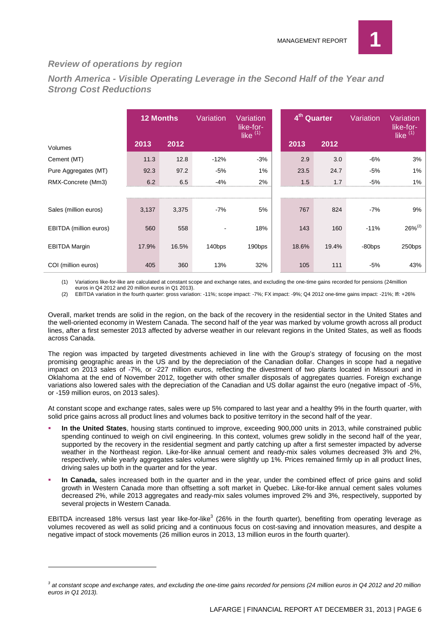

#### *Review of operations by region*

*North America - Visible Operating Leverage in the Second Half of the Year and Strong Cost Reductions*

|                        | <b>12 Months</b>                         |       | Variation | Variation<br>like-for-<br>like $(1)$ | 4 <sup>th</sup> Quarter |       | Variation | Variation<br>like-for-<br>like $(1)$ |
|------------------------|------------------------------------------|-------|-----------|--------------------------------------|-------------------------|-------|-----------|--------------------------------------|
| Volumes                | 2013                                     | 2012  |           |                                      | 2013                    | 2012  |           |                                      |
| Cement (MT)            | 11.3                                     | 12.8  | $-12%$    | $-3%$                                | 2.9                     | 3.0   | $-6%$     | 3%                                   |
| Pure Aggregates (MT)   | 92.3                                     | 97.2  | $-5%$     | $1\%$                                | 23.5                    | 24.7  | $-5%$     | 1%                                   |
| RMX-Concrete (Mm3)     | 6.2<br>,,,,,,,,,,,,,,,,,,,,,,,,,,,,,,,,, | 6.5   | -4%       | 2%                                   | 1.5                     | 1.7   | $-5%$     | 1%                                   |
|                        |                                          |       |           |                                      |                         |       |           |                                      |
| Sales (million euros)  | 3,137                                    | 3,375 | $-7%$     | 5%                                   | 767                     | 824   | $-7%$     | 9%                                   |
| EBITDA (million euros) | 560                                      | 558   |           | 18%                                  | 143                     | 160   | $-11%$    | $26\%^{(2)}$                         |
| <b>EBITDA Margin</b>   | 17.9%                                    | 16.5% | 140bps    | 190bps                               | 18.6%                   | 19.4% | -80bps    | 250bps                               |
| COI (million euros)    | 405                                      | 360   | 13%       | 32%                                  | 105                     | 111   | $-5%$     | 43%                                  |

(1) Variations like-for-like are calculated at constant scope and exchange rates, and excluding the one-time gains recorded for pensions (24million

euros in Q4 2012 and 20 million euros in Q1 2013). (2) EBITDA variation in the fourth quarter: gross variation: -11%; scope impact: -7%; FX impact: -9%; Q4 2012 one-time gains impact: -21%; lfl: +26%

Overall, market trends are solid in the region, on the back of the recovery in the residential sector in the United States and the well-oriented economy in Western Canada. The second half of the year was marked by volume growth across all product lines, after a first semester 2013 affected by adverse weather in our relevant regions in the United States, as well as floods across Canada.

The region was impacted by targeted divestments achieved in line with the Group's strategy of focusing on the most promising geographic areas in the US and by the depreciation of the Canadian dollar. Changes in scope had a negative impact on 2013 sales of -7%, or -227 million euros, reflecting the divestment of two plants located in Missouri and in Oklahoma at the end of November 2012, together with other smaller disposals of aggregates quarries. Foreign exchange variations also lowered sales with the depreciation of the Canadian and US dollar against the euro (negative impact of -5%, or -159 million euros, on 2013 sales).

At constant scope and exchange rates, sales were up 5% compared to last year and a healthy 9% in the fourth quarter, with solid price gains across all product lines and volumes back to positive territory in the second half of the year.

- **In the United States**, housing starts continued to improve, exceeding 900,000 units in 2013, while constrained public spending continued to weigh on civil engineering. In this context, volumes grew solidly in the second half of the year, supported by the recovery in the residential segment and partly catching up after a first semester impacted by adverse weather in the Northeast region. Like-for-like annual cement and ready-mix sales volumes decreased 3% and 2%, respectively, while yearly aggregates sales volumes were slightly up 1%. Prices remained firmly up in all product lines, driving sales up both in the quarter and for the year.
- **In Canada,** sales increased both in the quarter and in the year, under the combined effect of price gains and solid growth in Western Canada more than offsetting a soft market in Quebec. Like-for-like annual cement sales volumes decreased 2%, while 2013 aggregates and ready-mix sales volumes improved 2% and 3%, respectively, supported by several projects in Western Canada.

EBITDA increased 18% versus last year like-for-like<sup>3</sup> (26% in the fourth quarter), benefiting from operating leverage as volumes recovered as well as solid pricing and a continuous focus on cost-saving and innovation measures, and despite a negative impact of stock movements (26 million euros in 2013, 13 million euros in the fourth quarter).

*<sup>3</sup> at constant scope and exchange rates, and excluding the one-time gains recorded for pensions (24 million euros in Q4 2012 and 20 million euros in Q1 2013).*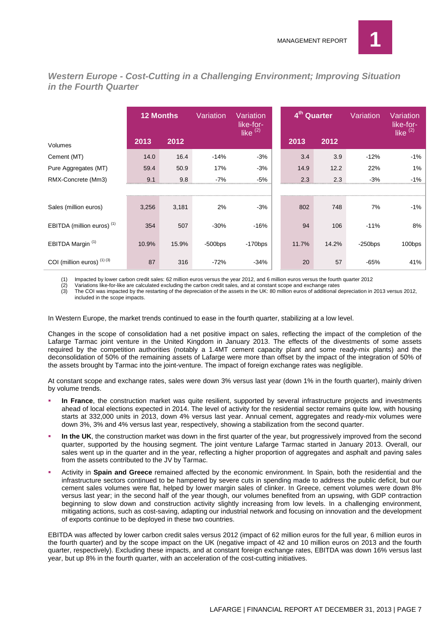

*Western Europe - Cost-Cutting in a Challenging Environment; Improving Situation in the Fourth Quarter*

|                                       | <b>12 Months</b> |       | Variation  | Variation<br>like-for- | 4 <sup>th</sup> Quarter |       | Variation  | Variation<br>like-for- |
|---------------------------------------|------------------|-------|------------|------------------------|-------------------------|-------|------------|------------------------|
| Volumes                               | 2013             | 2012  |            | like $(2)$             | 2013                    | 2012  |            | like $(2)$             |
| Cement (MT)                           | 14.0             | 16.4  | $-14%$     | $-3%$                  | 3.4                     | 3.9   | $-12%$     | -1%                    |
| Pure Aggregates (MT)                  | 59.4             | 50.9  | 17%        | $-3%$                  | 14.9                    | 12.2  | 22%        | 1%                     |
| RMX-Concrete (Mm3)                    | 9.1              | 9.8   | $-7%$      | $-5%$                  | 2.3                     | 2.3   | $-3%$      | $-1%$                  |
|                                       |                  |       |            |                        |                         |       |            |                        |
| Sales (million euros)                 | 3,256            | 3,181 | 2%         | $-3%$                  | 802                     | 748   | 7%         | -1%                    |
| EBITDA (million euros) <sup>(1)</sup> | 354              | 507   | $-30%$     | $-16%$                 | 94                      | 106   | $-11%$     | 8%                     |
| EBITDA Margin <sup>(1)</sup>          | 10.9%            | 15.9% | $-500$ bps | $-170$ bps             | 11.7%                   | 14.2% | $-250$ bps | 100bps                 |
| COI (million euros) $(1)(3)$          | 87               | 316   | $-72%$     | $-34%$                 | 20                      | 57    | $-65%$     | 41%                    |

(1) Impacted by lower carbon credit sales: 62 million euros versus the year 2012, and 6 million euros versus the fourth quarter 2012<br>(2) Variations like-for-like are calculated excluding the carbon credit sales, and at con

(2) Variations like-for-like are calculated excluding the carbon credit sales, and at constant scope and exchange rates

(3) The COI was impacted by the restarting of the depreciation of the assets in the UK: 80 million euros of additional depreciation in 2013 versus 2012, included in the scope impacts.

In Western Europe, the market trends continued to ease in the fourth quarter, stabilizing at a low level.

Changes in the scope of consolidation had a net positive impact on sales, reflecting the impact of the completion of the Lafarge Tarmac joint venture in the United Kingdom in January 2013. The effects of the divestments of some assets required by the competition authorities (notably a 1.4MT cement capacity plant and some ready-mix plants) and the deconsolidation of 50% of the remaining assets of Lafarge were more than offset by the impact of the integration of 50% of the assets brought by Tarmac into the joint-venture. The impact of foreign exchange rates was negligible.

At constant scope and exchange rates, sales were down 3% versus last year (down 1% in the fourth quarter), mainly driven by volume trends.

- **In France**, the construction market was quite resilient, supported by several infrastructure projects and investments ahead of local elections expected in 2014. The level of activity for the residential sector remains quite low, with housing starts at 332,000 units in 2013, down 4% versus last year. Annual cement, aggregates and ready-mix volumes were down 3%, 3% and 4% versus last year, respectively, showing a stabilization from the second quarter.
- **In the UK**, the construction market was down in the first quarter of the year, but progressively improved from the second quarter, supported by the housing segment. The joint venture Lafarge Tarmac started in January 2013. Overall, our sales went up in the quarter and in the year, reflecting a higher proportion of aggregates and asphalt and paving sales from the assets contributed to the JV by Tarmac.
- Activity in **Spain and Greece** remained affected by the economic environment. In Spain, both the residential and the infrastructure sectors continued to be hampered by severe cuts in spending made to address the public deficit, but our cement sales volumes were flat, helped by lower margin sales of clinker. In Greece, cement volumes were down 8% versus last year; in the second half of the year though, our volumes benefited from an upswing, with GDP contraction beginning to slow down and construction activity slightly increasing from low levels. In a challenging environment, mitigating actions, such as cost-saving, adapting our industrial network and focusing on innovation and the development of exports continue to be deployed in these two countries.

EBITDA was affected by lower carbon credit sales versus 2012 (impact of 62 million euros for the full year, 6 million euros in the fourth quarter) and by the scope impact on the UK (negative impact of 42 and 10 million euros on 2013 and the fourth quarter, respectively). Excluding these impacts, and at constant foreign exchange rates, EBITDA was down 16% versus last year, but up 8% in the fourth quarter, with an acceleration of the cost-cutting initiatives.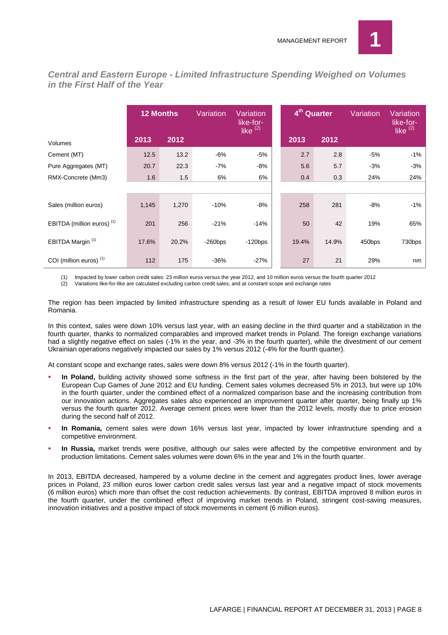

*Central and Eastern Europe - Limited Infrastructure Spending Weighed on Volumes in the First Half of the Year*

|                                       | <b>12 Months</b> |       | Variation  | Variation<br>like-for-<br>like <sup>(2)</sup> | 4 <sup>th</sup> Quarter |       | Variation | Variation<br>like-for-<br>like $(2)$ |
|---------------------------------------|------------------|-------|------------|-----------------------------------------------|-------------------------|-------|-----------|--------------------------------------|
| Volumes                               | 2013             | 2012  |            |                                               | 2013                    | 2012  |           |                                      |
| Cement (MT)                           | 12.5             | 13.2  | $-6%$      | $-5%$                                         | 2.7                     | 2.8   | $-5%$     | $-1\%$                               |
| Pure Aggregates (MT)                  | 20.7             | 22.3  | $-7%$      | $-8%$                                         | 5.6                     | 5.7   | $-3%$     | $-3%$                                |
| RMX-Concrete (Mm3)                    | 1.6              | 1.5   | 6%         | 6%                                            | 0.4                     | 0.3   | 24%       | 24%                                  |
|                                       |                  |       |            |                                               |                         |       |           |                                      |
| Sales (million euros)                 | 1,145            | 1,270 | $-10%$     | $-8%$                                         | 258                     | 281   | $-8%$     | -1%                                  |
| EBITDA (million euros) <sup>(1)</sup> | 201              | 256   | $-21%$     | $-14%$                                        | 50                      | 42    | 19%       | 65%                                  |
| EBITDA Margin <sup>(1)</sup>          | 17.6%            | 20.2% | $-260$ bps | $-120bps$                                     | 19.4%                   | 14.9% | 450bps    | 730bps                               |
| COI (million euros) <sup>(1)</sup>    | 112              | 175   | $-36%$     | $-27%$                                        | 27                      | 21    | 29%       | nm                                   |

(1) Impacted by lower carbon credit sales: 23 million euros versus the year 2012, and 10 million euros versus the fourth quarter 2012

(2) Variations like-for-like are calculated excluding carbon credit sales, and at constant scope and exchange rates

The region has been impacted by limited infrastructure spending as a result of lower EU funds available in Poland and Romania.

In this context, sales were down 10% versus last year, with an easing decline in the third quarter and a stabilization in the fourth quarter, thanks to normalized comparables and improved market trends in Poland. The foreign exchange variations had a slightly negative effect on sales (-1% in the year, and -3% in the fourth quarter), while the divestment of our cement Ukrainian operations negatively impacted our sales by 1% versus 2012 (-4% for the fourth quarter).

At constant scope and exchange rates, sales were down 8% versus 2012 (-1% in the fourth quarter).

- **In Poland,** building activity showed some softness in the first part of the year, after having been bolstered by the European Cup Games of June 2012 and EU funding. Cement sales volumes decreased 5% in 2013, but were up 10% in the fourth quarter, under the combined effect of a normalized comparison base and the increasing contribution from our innovation actions. Aggregates sales also experienced an improvement quarter after quarter, being finally up 1% versus the fourth quarter 2012. Average cement prices were lower than the 2012 levels, mostly due to price erosion during the second half of 2012.
- **In Romania,** cement sales were down 16% versus last year, impacted by lower infrastructure spending and a competitive environment.
- **In Russia,** market trends were positive, although our sales were affected by the competitive environment and by production limitations. Cement sales volumes were down 6% in the year and 1% in the fourth quarter.

In 2013, EBITDA decreased, hampered by a volume decline in the cement and aggregates product lines, lower average prices in Poland, 23 million euros lower carbon credit sales versus last year and a negative impact of stock movements (6 million euros) which more than offset the cost reduction achievements. By contrast, EBITDA improved 8 million euros in the fourth quarter, under the combined effect of improving market trends in Poland, stringent cost-saving measures, innovation initiatives and a positive impact of stock movements in cement (6 million euros).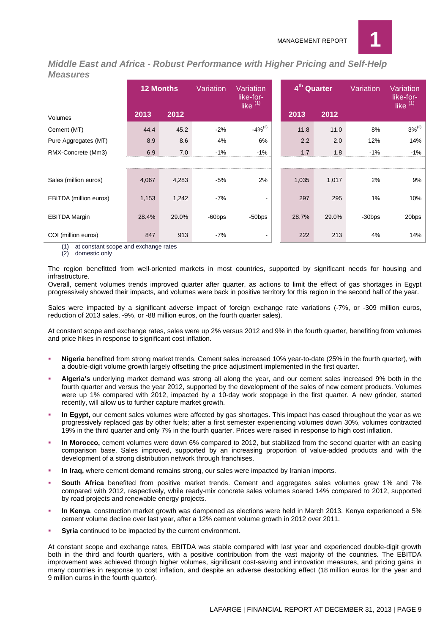

*Middle East and Africa - Robust Performance with Higher Pricing and Self-Help Measures*

|                               | <b>12 Months</b> |       | Variation | Variation<br>like-for-<br>like $(1)$ | 4 <sup>th</sup> Quarter |       | Variation                           | Variation<br>like-for-<br>like <sup>(1)</sup> |
|-------------------------------|------------------|-------|-----------|--------------------------------------|-------------------------|-------|-------------------------------------|-----------------------------------------------|
| Volumes                       | 2013             | 2012  |           |                                      | 2013                    | 2012  |                                     |                                               |
| Cement (MT)                   | 44.4             | 45.2  | $-2%$     | $-4\%^{(2)}$                         | 11.8                    | 11.0  | 8%                                  | $3%^{(2)}$                                    |
| Pure Aggregates (MT)          | 8.9              | 8.6   | 4%        | 6%                                   | 2.2                     | 2.0   | 12%                                 | 14%                                           |
| RMX-Concrete (Mm3)            | 6.9              | 7.0   | $-1%$     | $-1%$                                | 1.7                     | 1.8   | $-1%$<br>,,,,,,,,,,,,,,,,,,,,,,,,,, | $-1%$                                         |
|                               |                  |       |           |                                      |                         |       |                                     |                                               |
| Sales (million euros)         | 4,067            | 4,283 | $-5%$     | 2%                                   | 1,035                   | 1,017 | 2%                                  | 9%                                            |
| <b>EBITDA</b> (million euros) | 1,153            | 1,242 | $-7%$     |                                      | 297                     | 295   | 1%                                  | 10%                                           |
| <b>EBITDA Margin</b>          | 28.4%            | 29.0% | -60bps    | -50bps                               | 28.7%                   | 29.0% | $-30$ bps                           | 20bps                                         |
| COI (million euros)           | 847              | 913   | $-7%$     |                                      | 222                     | 213   | 4%                                  | 14%                                           |

(1) at constant scope and exchange rates

(2) domestic only

The region benefitted from well-oriented markets in most countries, supported by significant needs for housing and infrastructure.

Overall, cement volumes trends improved quarter after quarter, as actions to limit the effect of gas shortages in Egypt progressively showed their impacts, and volumes were back in positive territory for this region in the second half of the year.

Sales were impacted by a significant adverse impact of foreign exchange rate variations (-7%, or -309 million euros, reduction of 2013 sales, -9%, or -88 million euros, on the fourth quarter sales).

At constant scope and exchange rates, sales were up 2% versus 2012 and 9% in the fourth quarter, benefiting from volumes and price hikes in response to significant cost inflation.

- **Nigeria** benefited from strong market trends. Cement sales increased 10% year-to-date (25% in the fourth quarter), with a double-digit volume growth largely offsetting the price adjustment implemented in the first quarter.
- **Algeria's** underlying market demand was strong all along the year, and our cement sales increased 9% both in the fourth quarter and versus the year 2012, supported by the development of the sales of new cement products. Volumes were up 1% compared with 2012, impacted by a 10-day work stoppage in the first quarter. A new grinder, started recently, will allow us to further capture market growth.
- **In Egypt,** our cement sales volumes were affected by gas shortages. This impact has eased throughout the year as we progressively replaced gas by other fuels; after a first semester experiencing volumes down 30%, volumes contracted 19% in the third quarter and only 7% in the fourth quarter. Prices were raised in response to high cost inflation.
- **In Morocco,** cement volumes were down 6% compared to 2012, but stabilized from the second quarter with an easing comparison base. Sales improved, supported by an increasing proportion of value-added products and with the development of a strong distribution network through franchises.
- **In Iraq,** where cement demand remains strong, our sales were impacted by Iranian imports.
- **South Africa** benefited from positive market trends. Cement and aggregates sales volumes grew 1% and 7% compared with 2012, respectively, while ready-mix concrete sales volumes soared 14% compared to 2012, supported by road projects and renewable energy projects.
- **In Kenya**, construction market growth was dampened as elections were held in March 2013. Kenya experienced a 5% cement volume decline over last year, after a 12% cement volume growth in 2012 over 2011.
- **Syria** continued to be impacted by the current environment.

At constant scope and exchange rates, EBITDA was stable compared with last year and experienced double-digit growth both in the third and fourth quarters, with a positive contribution from the vast majority of the countries. The EBITDA improvement was achieved through higher volumes, significant cost-saving and innovation measures, and pricing gains in many countries in response to cost inflation, and despite an adverse destocking effect (18 million euros for the year and 9 million euros in the fourth quarter).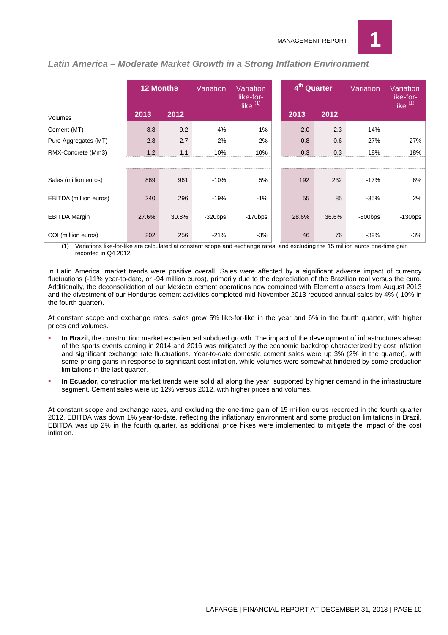

|                        | <b>12 Months</b> |       | Variation | Variation<br>like-for-<br>like $(1)$ | 4 <sup>th</sup> Quarter |       | Variation  | Variation<br>like-for-<br>like $(1)$ |
|------------------------|------------------|-------|-----------|--------------------------------------|-------------------------|-------|------------|--------------------------------------|
| Volumes                | 2013             | 2012  |           |                                      | 2013                    | 2012  |            |                                      |
| Cement (MT)            | 8.8              | 9.2   | $-4%$     | 1%                                   | 2.0                     | 2.3   | $-14%$     |                                      |
| Pure Aggregates (MT)   | 2.8              | 2.7   | 2%        | 2%                                   | 0.8                     | 0.6   | 27%        | 27%                                  |
| RMX-Concrete (Mm3)     | 1.2              |       | 10%       | 10%                                  | 0.3                     | 0.3   | 18%        | 18%                                  |
|                        |                  |       |           |                                      |                         |       |            |                                      |
| Sales (million euros)  | 869              | 961   | $-10%$    | 5%                                   | 192                     | 232   | $-17%$     | 6%                                   |
| EBITDA (million euros) | 240              | 296   | $-19%$    | $-1%$                                | 55                      | 85    | $-35%$     | 2%                                   |
| <b>EBITDA Margin</b>   | 27.6%            | 30.8% | $-320bps$ | $-170$ bps                           | 28.6%                   | 36.6% | $-800$ bps | $-130$ bps                           |
| COI (million euros)    | 202              | 256   | $-21%$    | $-3%$                                | 46                      | 76    | $-39%$     | $-3%$                                |

#### *Latin America – Moderate Market Growth in a Strong Inflation Environment*

(1) Variations like-for-like are calculated at constant scope and exchange rates, and excluding the 15 million euros one-time gain recorded in Q4 2012.

In Latin America, market trends were positive overall. Sales were affected by a significant adverse impact of currency fluctuations (-11% year-to-date, or -94 million euros), primarily due to the depreciation of the Brazilian real versus the euro. Additionally, the deconsolidation of our Mexican cement operations now combined with Elementia assets from August 2013 and the divestment of our Honduras cement activities completed mid-November 2013 reduced annual sales by 4% (-10% in the fourth quarter).

At constant scope and exchange rates, sales grew 5% like-for-like in the year and 6% in the fourth quarter, with higher prices and volumes.

- **In Brazil,** the construction market experienced subdued growth. The impact of the development of infrastructures ahead of the sports events coming in 2014 and 2016 was mitigated by the economic backdrop characterized by cost inflation and significant exchange rate fluctuations. Year-to-date domestic cement sales were up 3% (2% in the quarter), with some pricing gains in response to significant cost inflation, while volumes were somewhat hindered by some production limitations in the last quarter.
- **In Ecuador,** construction market trends were solid all along the year, supported by higher demand in the infrastructure segment. Cement sales were up 12% versus 2012, with higher prices and volumes.

At constant scope and exchange rates, and excluding the one-time gain of 15 million euros recorded in the fourth quarter 2012, EBITDA was down 1% year-to-date, reflecting the inflationary environment and some production limitations in Brazil. EBITDA was up 2% in the fourth quarter, as additional price hikes were implemented to mitigate the impact of the cost inflation.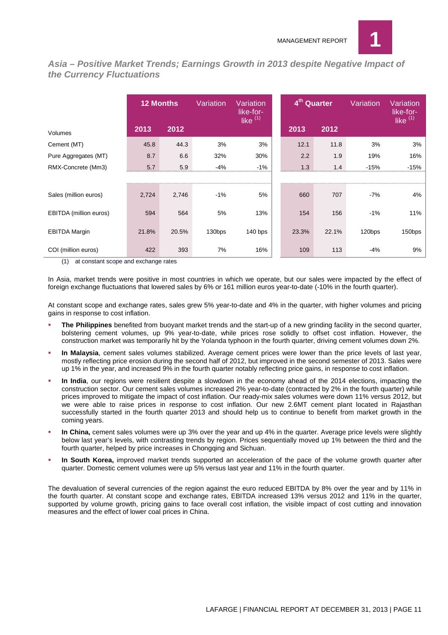

*Asia – Positive Market Trends; Earnings Growth in 2013 despite Negative Impact of the Currency Fluctuations*

|                        | <b>12 Months</b> |       | Variation | Variation<br>like-for-<br>like $(1)$ | 4 <sup>th</sup> Quarter |       | Variation | Variation<br>like-for-<br>like $(1)$ |
|------------------------|------------------|-------|-----------|--------------------------------------|-------------------------|-------|-----------|--------------------------------------|
| Volumes                | 2013             | 2012  |           |                                      | 2013                    | 2012  |           |                                      |
| Cement (MT)            | 45.8             | 44.3  | 3%        | 3%                                   | 12.1                    | 11.8  | 3%        | 3%                                   |
| Pure Aggregates (MT)   | 8.7              | 6.6   | 32%       | 30%                                  | 2.2                     | 1.9   | 19%       | 16%                                  |
| RMX-Concrete (Mm3)     | 5.7              | 5.9   | $-4%$     | $-1%$                                | 1.3                     | 1.4   | $-15%$    | $-15%$                               |
|                        |                  |       |           |                                      |                         |       |           |                                      |
| Sales (million euros)  | 2,724            | 2,746 | $-1%$     | 5%                                   | 660                     | 707   | $-7%$     | 4%                                   |
| EBITDA (million euros) | 594              | 564   | 5%        | 13%                                  | 154                     | 156   | $-1%$     | 11%                                  |
| <b>EBITDA Margin</b>   | 21.8%            | 20.5% | 130bps    | $140$ bps                            | 23.3%                   | 22.1% | 120bps    | 150bps                               |
| COI (million euros)    | 422              | 393   | 7%        | 16%                                  | 109                     | 113   | $-4%$     | 9%                                   |

(1) at constant scope and exchange rates

In Asia, market trends were positive in most countries in which we operate, but our sales were impacted by the effect of foreign exchange fluctuations that lowered sales by 6% or 161 million euros year-to-date (-10% in the fourth quarter).

At constant scope and exchange rates, sales grew 5% year-to-date and 4% in the quarter, with higher volumes and pricing gains in response to cost inflation.

- **The Philippines** benefited from buoyant market trends and the start-up of a new grinding facility in the second quarter, bolstering cement volumes, up 9% year-to-date, while prices rose solidly to offset cost inflation. However, the construction market was temporarily hit by the Yolanda typhoon in the fourth quarter, driving cement volumes down 2%.
- **In Malaysia**, cement sales volumes stabilized. Average cement prices were lower than the price levels of last year, mostly reflecting price erosion during the second half of 2012, but improved in the second semester of 2013. Sales were up 1% in the year, and increased 9% in the fourth quarter notably reflecting price gains, in response to cost inflation.
- **In India**, our regions were resilient despite a slowdown in the economy ahead of the 2014 elections, impacting the construction sector. Our cement sales volumes increased 2% year-to-date (contracted by 2% in the fourth quarter) while prices improved to mitigate the impact of cost inflation. Our ready-mix sales volumes were down 11% versus 2012, but we were able to raise prices in response to cost inflation. Our new 2.6MT cement plant located in Rajasthan successfully started in the fourth quarter 2013 and should help us to continue to benefit from market growth in the coming years.
- **In China,** cement sales volumes were up 3% over the year and up 4% in the quarter. Average price levels were slightly below last year's levels, with contrasting trends by region. Prices sequentially moved up 1% between the third and the fourth quarter, helped by price increases in Chongqing and Sichuan.
- **In South Korea,** improved market trends supported an acceleration of the pace of the volume growth quarter after quarter. Domestic cement volumes were up 5% versus last year and 11% in the fourth quarter.

The devaluation of several currencies of the region against the euro reduced EBITDA by 8% over the year and by 11% in the fourth quarter. At constant scope and exchange rates, EBITDA increased 13% versus 2012 and 11% in the quarter, supported by volume growth, pricing gains to face overall cost inflation, the visible impact of cost cutting and innovation measures and the effect of lower coal prices in China.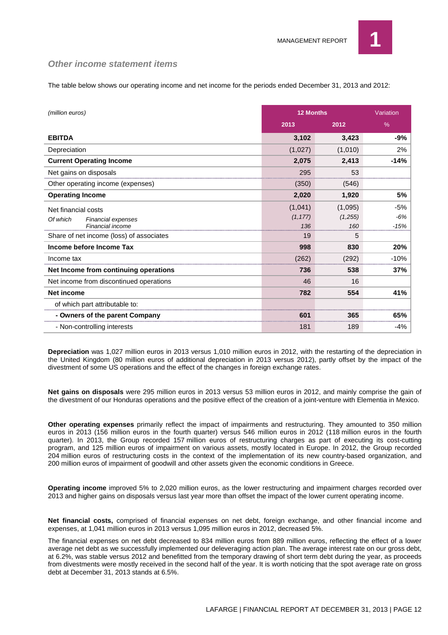

#### *Other income statement items*

The table below shows our operating income and net income for the periods ended December 31, 2013 and 2012:

| (million euros)                                                           | 12 Months                  |                           | Variation            |
|---------------------------------------------------------------------------|----------------------------|---------------------------|----------------------|
|                                                                           | 2013                       | 2012                      | %                    |
| <b>EBITDA</b>                                                             | 3,102                      | 3,423                     | -9%                  |
| Depreciation                                                              | (1,027)                    | (1,010)                   | 2%                   |
| <b>Current Operating Income</b>                                           | 2,075                      | 2,413                     | $-14%$               |
| Net gains on disposals                                                    | 295                        | 53                        |                      |
| Other operating income (expenses)                                         | (350)                      | (546)                     |                      |
| <b>Operating Income</b>                                                   | 2,020                      | 1,920                     | 5%                   |
| Net financial costs<br>Of which<br>Financial expenses<br>Financial income | (1,041)<br>(1, 177)<br>136 | (1,095)<br>(1.255)<br>160 | -5%<br>-6%<br>$-15%$ |
| Share of net income (loss) of associates                                  | 19                         | 5                         |                      |
| Income before Income Tax                                                  | 998                        | 830                       | 20%                  |
| Income tax                                                                | (262)                      | (292)                     | $-10%$               |
| Net Income from continuing operations                                     | 736                        | 538                       | 37%                  |
| Net income from discontinued operations                                   | 46                         | 16                        |                      |
| <b>Net income</b>                                                         | 782                        | 554                       | 41%                  |
| of which part attributable to:                                            |                            |                           |                      |
| - Owners of the parent Company                                            | 60.                        | 365                       | 65%                  |
| - Non-controlling interests                                               | 181                        | 189                       | -4%                  |

**Depreciation** was 1,027 million euros in 2013 versus 1,010 million euros in 2012, with the restarting of the depreciation in the United Kingdom (80 million euros of additional depreciation in 2013 versus 2012), partly offset by the impact of the divestment of some US operations and the effect of the changes in foreign exchange rates.

**Net gains on disposals** were 295 million euros in 2013 versus 53 million euros in 2012, and mainly comprise the gain of the divestment of our Honduras operations and the positive effect of the creation of a joint-venture with Elementia in Mexico.

**Other operating expenses** primarily reflect the impact of impairments and restructuring. They amounted to 350 million euros in 2013 (156 million euros in the fourth quarter) versus 546 million euros in 2012 (118 million euros in the fourth quarter). In 2013, the Group recorded 157 million euros of restructuring charges as part of executing its cost-cutting program, and 125 million euros of impairment on various assets, mostly located in Europe. In 2012, the Group recorded 204 million euros of restructuring costs in the context of the implementation of its new country-based organization, and 200 million euros of impairment of goodwill and other assets given the economic conditions in Greece.

**Operating income** improved 5% to 2,020 million euros, as the lower restructuring and impairment charges recorded over 2013 and higher gains on disposals versus last year more than offset the impact of the lower current operating income.

**Net financial costs,** comprised of financial expenses on net debt, foreign exchange, and other financial income and expenses, at 1,041 million euros in 2013 versus 1,095 million euros in 2012, decreased 5%.

The financial expenses on net debt decreased to 834 million euros from 889 million euros, reflecting the effect of a lower average net debt as we successfully implemented our deleveraging action plan. The average interest rate on our gross debt, at 6.2%, was stable versus 2012 and benefitted from the temporary drawing of short term debt during the year, as proceeds from divestments were mostly received in the second half of the year. It is worth noticing that the spot average rate on gross debt at December 31, 2013 stands at 6.5%.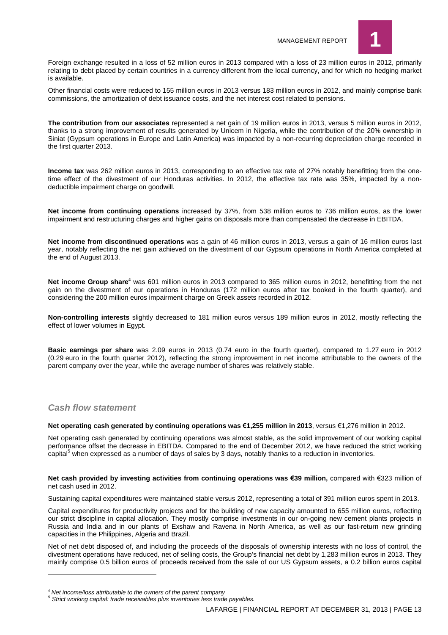

Foreign exchange resulted in a loss of 52 million euros in 2013 compared with a loss of 23 million euros in 2012, primarily relating to debt placed by certain countries in a currency different from the local currency, and for which no hedging market is available.

Other financial costs were reduced to 155 million euros in 2013 versus 183 million euros in 2012, and mainly comprise bank commissions, the amortization of debt issuance costs, and the net interest cost related to pensions.

**The contribution from our associates** represented a net gain of 19 million euros in 2013, versus 5 million euros in 2012, thanks to a strong improvement of results generated by Unicem in Nigeria, while the contribution of the 20% ownership in Siniat (Gypsum operations in Europe and Latin America) was impacted by a non-recurring depreciation charge recorded in the first quarter 2013.

**Income tax** was 262 million euros in 2013, corresponding to an effective tax rate of 27% notably benefitting from the onetime effect of the divestment of our Honduras activities. In 2012, the effective tax rate was 35%, impacted by a nondeductible impairment charge on goodwill.

**Net income from continuing operations** increased by 37%, from 538 million euros to 736 million euros, as the lower impairment and restructuring charges and higher gains on disposals more than compensated the decrease in EBITDA.

**Net income from discontinued operations** was a gain of 46 million euros in 2013, versus a gain of 16 million euros last year, notably reflecting the net gain achieved on the divestment of our Gypsum operations in North America completed at the end of August 2013.

**Net income Group share<sup>4</sup>** was 601 million euros in 2013 compared to 365 million euros in 2012, benefitting from the net gain on the divestment of our operations in Honduras (172 million euros after tax booked in the fourth quarter), and considering the 200 million euros impairment charge on Greek assets recorded in 2012.

**Non-controlling interests** slightly decreased to 181 million euros versus 189 million euros in 2012, mostly reflecting the effect of lower volumes in Egypt.

**Basic earnings per share** was 2.09 euros in 2013 (0.74 euro in the fourth quarter), compared to 1.27 euro in 2012 (0.29 euro in the fourth quarter 2012), reflecting the strong improvement in net income attributable to the owners of the parent company over the year, while the average number of shares was relatively stable.

#### *Cash flow statement*

**Net operating cash generated by continuing operations was €1,255 million in 2013**, versus €1,276 million in 2012.

Net operating cash generated by continuing operations was almost stable, as the solid improvement of our working capital performance offset the decrease in EBITDA. Compared to the end of December 2012, we have reduced the strict working capital<sup>5</sup> when expressed as a number of days of sales by 3 days, notably thanks to a reduction in inventories.

**Net cash provided by investing activities from continuing operations was €39 million,** compared with €323 million of net cash used in 2012.

Sustaining capital expenditures were maintained stable versus 2012, representing a total of 391 million euros spent in 2013.

Capital expenditures for productivity projects and for the building of new capacity amounted to 655 million euros, reflecting our strict discipline in capital allocation. They mostly comprise investments in our on-going new cement plants projects in Russia and India and in our plants of Exshaw and Ravena in North America, as well as our fast-return new grinding capacities in the Philippines, Algeria and Brazil.

Net of net debt disposed of, and including the proceeds of the disposals of ownership interests with no loss of control, the divestment operations have reduced, net of selling costs, the Group's financial net debt by 1,283 million euros in 2013. They mainly comprise 0.5 billion euros of proceeds received from the sale of our US Gypsum assets, a 0.2 billion euros capital

*<sup>4</sup> Net income/loss attributable to the owners of the parent company*

*<sup>5</sup> Strict working capital: trade receivables plus inventories less trade payables.*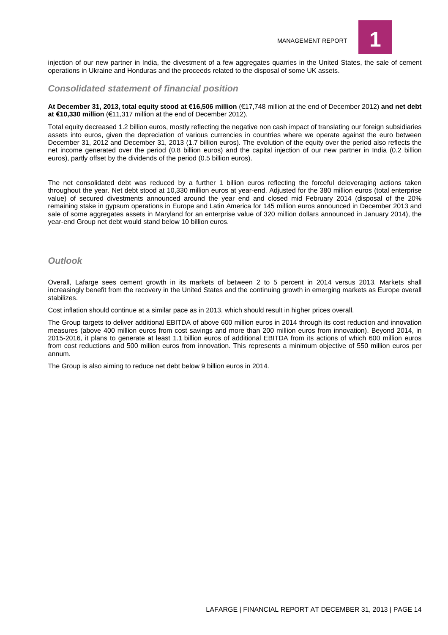

injection of our new partner in India, the divestment of a few aggregates quarries in the United States, the sale of cement operations in Ukraine and Honduras and the proceeds related to the disposal of some UK assets.

#### *Consolidated statement of financial position*

**At December 31, 2013, total equity stood at €16,506 million** (€17,748 million at the end of December 2012) **and net debt at €10,330 million** (€11,317 million at the end of December 2012).

Total equity decreased 1.2 billion euros, mostly reflecting the negative non cash impact of translating our foreign subsidiaries assets into euros, given the depreciation of various currencies in countries where we operate against the euro between December 31, 2012 and December 31, 2013 (1.7 billion euros). The evolution of the equity over the period also reflects the net income generated over the period (0.8 billion euros) and the capital injection of our new partner in India (0.2 billion euros), partly offset by the dividends of the period (0.5 billion euros).

The net consolidated debt was reduced by a further 1 billion euros reflecting the forceful deleveraging actions taken throughout the year. Net debt stood at 10,330 million euros at year-end. Adjusted for the 380 million euros (total enterprise value) of secured divestments announced around the year end and closed mid February 2014 (disposal of the 20% remaining stake in gypsum operations in Europe and Latin America for 145 million euros announced in December 2013 and sale of some aggregates assets in Maryland for an enterprise value of 320 million dollars announced in January 2014), the year-end Group net debt would stand below 10 billion euros.

#### *Outlook*

Overall, Lafarge sees cement growth in its markets of between 2 to 5 percent in 2014 versus 2013. Markets shall increasingly benefit from the recovery in the United States and the continuing growth in emerging markets as Europe overall stabilizes.

Cost inflation should continue at a similar pace as in 2013, which should result in higher prices overall.

The Group targets to deliver additional EBITDA of above 600 million euros in 2014 through its cost reduction and innovation measures (above 400 million euros from cost savings and more than 200 million euros from innovation). Beyond 2014, in 2015-2016, it plans to generate at least 1.1 billion euros of additional EBITDA from its actions of which 600 million euros from cost reductions and 500 million euros from innovation. This represents a minimum objective of 550 million euros per annum.

The Group is also aiming to reduce net debt below 9 billion euros in 2014.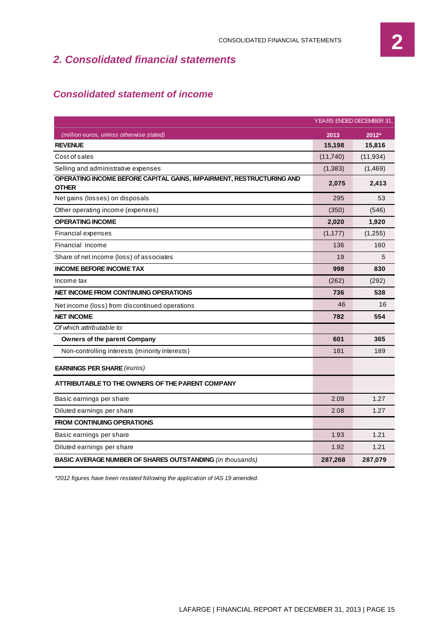## *2. Consolidated financial statements*

## *Consolidated statement of income*

|                                                                                      |          | YEARS ENDED DECEMBER 31, |
|--------------------------------------------------------------------------------------|----------|--------------------------|
| (million euros, unless otherwise stated)                                             | 2013     | 2012*                    |
| <b>REVENUE</b>                                                                       | 15,198   | 15,816                   |
| Cost of sales                                                                        | (11,740) | (11, 934)                |
| Selling and administrative expenses                                                  | (1, 383) | (1,469)                  |
| OPERATING INCOME BEFORE CAPITAL GAINS, IMPAIRMENT, RESTRUCTURING AND<br><b>OTHER</b> | 2,075    | 2,413                    |
| Net gains (losses) on disposals                                                      | 295      | 53                       |
| Other operating income (expenses)                                                    | (350)    | (546)                    |
| <b>OPERATING INCOME</b>                                                              | 2,020    | 1,920                    |
| Financial expenses                                                                   | (1, 177) | (1,255)                  |
| Financial income                                                                     | 136      | 160                      |
| Share of net income (loss) of associates                                             | 19       | 5                        |
| <b>INCOME BEFORE INCOME TAX</b>                                                      | 998      | 830                      |
| Income tax                                                                           | (262)    | (292)                    |
| <b>NET INCOME FROM CONTINUING OPERATIONS</b>                                         | 736      | 538                      |
| Net income (loss) from discontinued operations                                       | 46       | 16                       |
| <b>NET INCOME</b>                                                                    | 782      | 554                      |
| Of which attributable to:                                                            |          |                          |
| <b>Owners of the parent Company</b>                                                  | 601      | 365                      |
| Non-controlling interests (minority interests)                                       | 181      | 189                      |
| <b>EARNINGS PER SHARE (euros)</b>                                                    |          |                          |
| ATTRIBUTABLE TO THE OWNERS OF THE PARENT COMPANY                                     |          |                          |
| Basic earnings per share                                                             | 2.09     | 1.27                     |
| Diluted earnings per share                                                           | 2.08     | 1.27                     |
| <b>FROM CONTINUING OPERATIONS</b>                                                    |          |                          |
| Basic earnings per share                                                             | 1.93     | 1.21                     |
| Diluted earnings per share                                                           | 1.92     | 1.21                     |
| <b>BASIC AVERAGE NUMBER OF SHARES OUTSTANDING (in thousands)</b>                     | 287,268  | 287,079                  |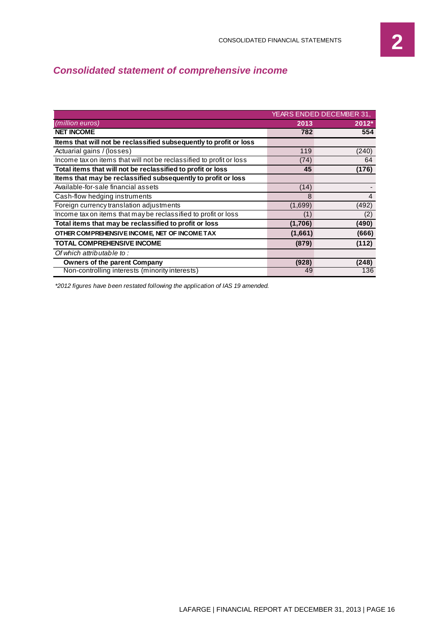## *Consolidated statement of comprehensive income*

|                                                                     | YEARS ENDED DECEMBER 31, |                |
|---------------------------------------------------------------------|--------------------------|----------------|
| (million euros)                                                     | 2013                     | $2012*$        |
| <b>NET INCOME</b>                                                   | 782                      | 554            |
| Items that will not be reclassified subsequently to profit or loss  |                          |                |
| Actuarial gains / (losses)                                          | 119                      | (240)          |
| Income tax on items that will not be reclassified to profit or loss | (74)                     | 64             |
| Total items that will not be reclassified to profit or loss         | 45                       | (176)          |
| Items that may be reclassified subsequently to profit or loss       |                          |                |
| Available-for-sale financial assets                                 | (14)                     |                |
| Cash-flow hedging instruments                                       | 8                        | $\overline{4}$ |
| Foreign currency translation adjustments                            | (1,699)                  | (492)          |
| Income tax on items that may be reclassified to profit or loss      | (1)                      | (2)            |
| Total items that may be reclassified to profit or loss              | (1,706)                  | (490)          |
| OTHER COMPREHENSIVE INCOME, NET OF INCOME TAX                       | (1,661)                  | (666)          |
| <b>TOTAL COMPREHENSIVE INCOME</b>                                   | (879)                    | (112)          |
| Of which attributable to:                                           |                          |                |
| <b>Owners of the parent Company</b>                                 | (928)                    | (248)          |
| Non-controlling interests (minority interests)                      | 49                       | 136            |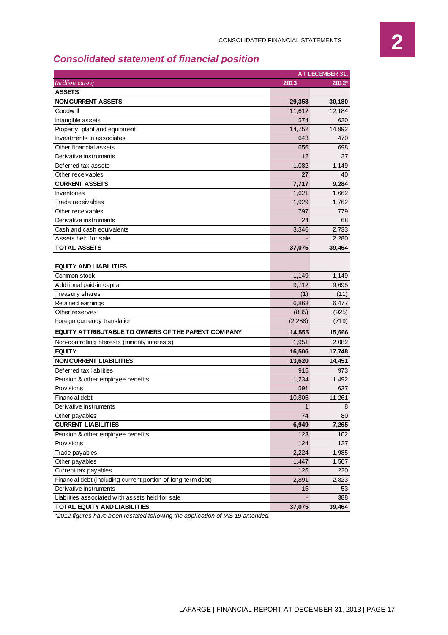## *Consolidated statement of financial position*

|                                                              | AT DECEMBER 31, |        |  |  |
|--------------------------------------------------------------|-----------------|--------|--|--|
| ( <i>million euros</i> )                                     | 2013            | 2012*  |  |  |
| <b>ASSETS</b>                                                |                 |        |  |  |
| <b>NON CURRENT ASSETS</b>                                    | 29,358          | 30,180 |  |  |
| Goodw ill                                                    | 11.612          | 12,184 |  |  |
| Intangible assets                                            | 574             | 620    |  |  |
| Property, plant and equipment                                | 14,752          | 14,992 |  |  |
| Investments in associates                                    | 643             | 470    |  |  |
| Other financial assets                                       | 656             | 698    |  |  |
| Derivative instruments                                       | 12              | 27     |  |  |
| Deferred tax assets                                          | 1,082           | 1,149  |  |  |
| Other receivables                                            | 27              | 40     |  |  |
| <b>CURRENT ASSETS</b>                                        | 7,717           | 9,284  |  |  |
| Inventories                                                  | 1,621           | 1,662  |  |  |
| Trade receivables                                            | 1,929           | 1,762  |  |  |
| Other receivables                                            | 797             | 779    |  |  |
| Derivative instruments                                       | 24              | 68     |  |  |
| Cash and cash equivalents                                    | 3,346           | 2,733  |  |  |
| Assets held for sale                                         |                 | 2,280  |  |  |
| <b>TOTAL ASSETS</b>                                          | 37,075          | 39,464 |  |  |
| Additional paid-in capital                                   | 9,712           | 9,695  |  |  |
| Common stock                                                 | 1,149           | 1,149  |  |  |
| Treasury shares                                              | (1)             | (11)   |  |  |
| Retained earnings                                            | 6,868           | 6,477  |  |  |
| Other reserves                                               | (885)           | (925)  |  |  |
| Foreign currency translation                                 | (2,288)         | (719)  |  |  |
| EQUITY ATTRIBUTABLE TO OWNERS OF THE PARENT COMPANY          | 14,555          | 15,666 |  |  |
| Non-controlling interests (minority interests)               | 1,951           | 2,082  |  |  |
| <b>EQUITY</b>                                                | 16,506          | 17,748 |  |  |
| <b>NON CURRENT LIABILITIES</b>                               | 13,620          | 14,451 |  |  |
| Deferred tax liabilities                                     | 915             | 973    |  |  |
| Pension & other employee benefits                            | 1,234           | 1,492  |  |  |
| Provisions                                                   | 591             | 637    |  |  |
| Financial debt                                               | 10,805          | 11,261 |  |  |
| Derivative instruments                                       | $\mathbf{1}$    | 8      |  |  |
| Other payables                                               | 74              | 80     |  |  |
| <b>CURRENT LIABILITIES</b>                                   | 6,949           | 7,265  |  |  |
| Pension & other employee benefits                            | 123             | 102    |  |  |
| Provisions                                                   | 124             | 127    |  |  |
| Trade payables                                               | 2,224           | 1,985  |  |  |
| Other payables                                               | 1,447           | 1,567  |  |  |
| Current tax payables                                         | 125             | 220    |  |  |
| Financial debt (including current portion of long-term debt) | 2,891           | 2,823  |  |  |
| Derivative instruments                                       | 15              | 53     |  |  |
| Liabilities associated with assets held for sale             |                 | 388    |  |  |
| <b>TOTAL EQUITY AND LIABILITIES</b>                          | 37,075          | 39,464 |  |  |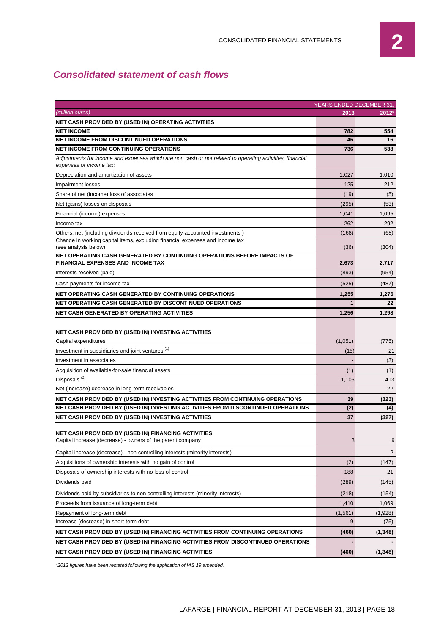## *Consolidated statement of cash flows*

| <b>YEARS ENDED DECEMBER 31,</b>                                                                                                     |              |                |  |  |  |  |  |
|-------------------------------------------------------------------------------------------------------------------------------------|--------------|----------------|--|--|--|--|--|
| (million euros)                                                                                                                     | 2013         | 2012*          |  |  |  |  |  |
| NET CASH PROVIDED BY (USED IN) OPERATING ACTIVITIES                                                                                 |              |                |  |  |  |  |  |
| <b>NET INCOME</b>                                                                                                                   | 782          | 554            |  |  |  |  |  |
| <b>NET INCOME FROM DISCONTINUED OPERATIONS</b>                                                                                      | 46           | 16             |  |  |  |  |  |
| <b>NET INCOME FROM CONTINUING OPERATIONS</b>                                                                                        | 736          | 538            |  |  |  |  |  |
| Adjustments for income and expenses which are non cash or not related to operating activities, financial<br>expenses or income tax: |              |                |  |  |  |  |  |
| Depreciation and amortization of assets                                                                                             | 1,027        | 1,010          |  |  |  |  |  |
| Impairment losses                                                                                                                   | 125          | 212            |  |  |  |  |  |
| Share of net (income) loss of associates                                                                                            | (19)         | (5)            |  |  |  |  |  |
| Net (gains) losses on disposals                                                                                                     | (295)        | (53)           |  |  |  |  |  |
| Financial (income) expenses                                                                                                         | 1,041        | 1,095          |  |  |  |  |  |
| Income tax                                                                                                                          | 262          | 292            |  |  |  |  |  |
| Others, net (including dividends received from equity-accounted investments)                                                        | (168)        | (68)           |  |  |  |  |  |
| Change in working capital items, excluding financial expenses and income tax<br>(see analysis below)                                | (36)         | (304)          |  |  |  |  |  |
| NET OPERATING CASH GENERATED BY CONTINUING OPERATIONS BEFORE IMPACTS OF                                                             |              |                |  |  |  |  |  |
| <b>FINANCIAL EXPENSES AND INCOME TAX</b>                                                                                            | 2,673        | 2,717          |  |  |  |  |  |
| Interests received (paid)                                                                                                           | (893)        | (954)          |  |  |  |  |  |
| Cash payments for income tax                                                                                                        | (525)        | (487)          |  |  |  |  |  |
| NET OPERATING CASH GENERATED BY CONTINUING OPERATIONS                                                                               | 1,255        | 1,276          |  |  |  |  |  |
| NET OPERATING CASH GENERATED BY DISCONTINUED OPERATIONS                                                                             | 1            | 22             |  |  |  |  |  |
| <b>NET CASH GENERATED BY OPERATING ACTIVITIES</b>                                                                                   | 1,256        | 1,298          |  |  |  |  |  |
| NET CASH PROVIDED BY (USED IN) INVESTING ACTIVITIES<br>Capital expenditures                                                         | (1,051)      | (775)          |  |  |  |  |  |
| Investment in subsidiaries and joint ventures <sup>(1)</sup>                                                                        | (15)         | 21             |  |  |  |  |  |
| Investment in associates                                                                                                            |              | (3)            |  |  |  |  |  |
| Acquisition of available-for-sale financial assets                                                                                  | (1)          | (1)            |  |  |  |  |  |
| Disposals <sup>(2)</sup>                                                                                                            | 1,105        | 413            |  |  |  |  |  |
| Net (increase) decrease in long-term receivables                                                                                    | $\mathbf{1}$ | 22             |  |  |  |  |  |
| NET CASH PROVIDED BY (USED IN) INVESTING ACTIVITIES FROM CONTINUING OPERATIONS                                                      | 39           | (323)          |  |  |  |  |  |
| NET CASH PROVIDED BY (USED IN) INVESTING ACTIVITIES FROM DISCONTINUED OPERATIONS                                                    | (2)          | (4)            |  |  |  |  |  |
| NET CASH PROVIDED BY (USED IN) INVESTING ACTIVITIES                                                                                 | 37           | (327)          |  |  |  |  |  |
| <b>NET CASH PROVIDED BY (USED IN) FINANCING ACTIVITIES</b><br>Capital increase (decrease) - owners of the parent company            | 3            | 9              |  |  |  |  |  |
| Capital increase (decrease) - non controlling interests (minority interests)                                                        |              | $\overline{2}$ |  |  |  |  |  |
| Acquisitions of ownership interests with no gain of control                                                                         | (2)          | (147)          |  |  |  |  |  |
| Disposals of ownership interests with no loss of control                                                                            | 188          | 21             |  |  |  |  |  |
| Dividends paid                                                                                                                      | (289)        | (145)          |  |  |  |  |  |
| Dividends paid by subsidiaries to non controlling interests (minority interests)                                                    | (218)        | (154)          |  |  |  |  |  |
| Proceeds from issuance of long-term debt                                                                                            | 1,410        | 1,069          |  |  |  |  |  |
| Repayment of long-term debt                                                                                                         | (1, 561)     | (1,928)        |  |  |  |  |  |
| Increase (decrease) in short-term debt                                                                                              | 9            | (75)           |  |  |  |  |  |
| NET CASH PROVIDED BY (USED IN) FINANCING ACTIVITIES FROM CONTINUING OPERATIONS                                                      | (460)        | (1, 348)       |  |  |  |  |  |
| NET CASH PROVIDED BY (USED IN) FINANCING ACTIVITIES FROM DISCONTINUED OPERATIONS                                                    |              |                |  |  |  |  |  |
| <b>NET CASH PROVIDED BY (USED IN) FINANCING ACTIVITIES</b>                                                                          | (460)        | (1, 348)       |  |  |  |  |  |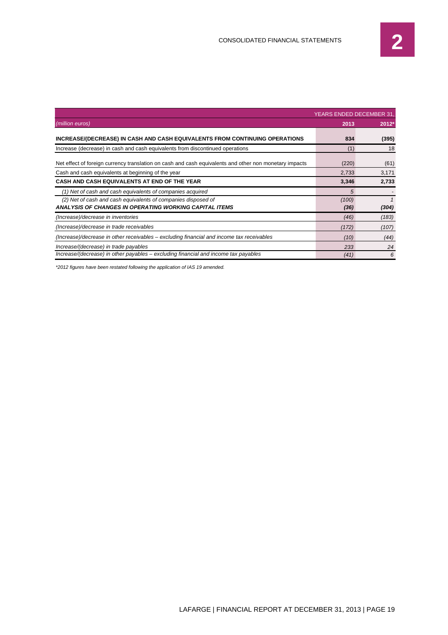|                                                                                                        | YEARS ENDED DECEMBER 31 |       |  |
|--------------------------------------------------------------------------------------------------------|-------------------------|-------|--|
| (million euros)                                                                                        | 2013                    | 2012* |  |
| INCREASE/(DECREASE) IN CASH AND CASH EQUIVALENTS FROM CONTINUING OPERATIONS                            | 834                     | (395) |  |
| Increase (decrease) in cash and cash equivalents from discontinued operations                          | (1)                     | 18    |  |
| Net effect of foreign currency translation on cash and cash equivalents and other non monetary impacts | (220)                   | (61)  |  |
| Cash and cash equivalents at beginning of the year                                                     | 2,733                   | 3,171 |  |
| CASH AND CASH EQUIVALENTS AT END OF THE YEAR                                                           | 3,346                   | 2,733 |  |
| (1) Net of cash and cash equivalents of companies acquired                                             | 5                       |       |  |
| (2) Net of cash and cash equivalents of companies disposed of                                          | (100)                   |       |  |
| ANALYSIS OF CHANGES IN OPERATING WORKING CAPITAL ITEMS                                                 | (36)                    | (304) |  |
| (Increase)/decrease in inventories                                                                     | (46)                    | (183) |  |
| (Increase)/decrease in trade receivables                                                               | (172)                   | (107) |  |
| (Increase)/decrease in other receivables – excluding financial and income tax receivables              | (10)                    | (44)  |  |
| Increase/(decrease) in trade payables                                                                  | 233                     | 24    |  |
| Increase/(decrease) in other payables – excluding financial and income tax payables                    | (41)                    | 6     |  |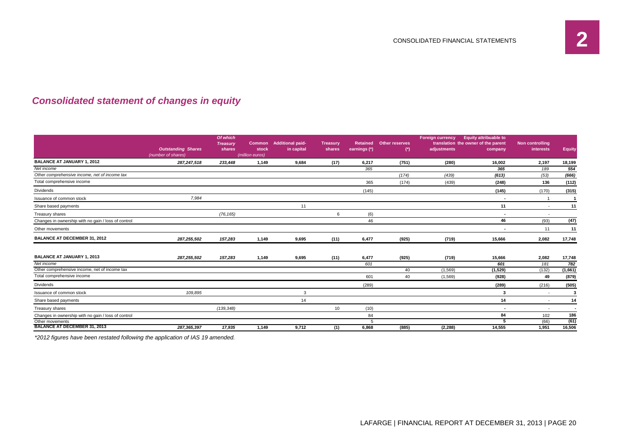## *Consolidated statement of changes in equity*

|                                                     |                           | Of which<br><b>Treasury</b> |       | <b>Common</b> Additional paid- | <b>Treasury</b> | <b>Retained</b> | <b>Other reserves</b> | <b>Foreign currency</b> | <b>Equity attribuable to</b><br>translation the owner of the parent | Non controlling          |                          |
|-----------------------------------------------------|---------------------------|-----------------------------|-------|--------------------------------|-----------------|-----------------|-----------------------|-------------------------|---------------------------------------------------------------------|--------------------------|--------------------------|
|                                                     | <b>Outstanding Shares</b> | shares                      | stock | in capital                     | shares          | earnings (*)    | $^{\circ}$            | adjustments             | company                                                             | interests                | Equity                   |
|                                                     | (number of shares)        |                             |       |                                |                 |                 |                       |                         |                                                                     |                          |                          |
| <b>BALANCE AT JANUARY 1, 2012</b>                   | 287,247,518               | 233,448                     | 1,149 | 9,684                          | (17)            | 6,217           | (751)                 | (280)                   | 16,002                                                              | 2,197                    | 18,199                   |
| Net income                                          |                           |                             |       |                                |                 | 365             |                       |                         | 365                                                                 | 189                      | 554                      |
| Other comprehensive income, net of income tax       |                           |                             |       |                                |                 |                 | (174)                 | (439)                   | (613)                                                               | (53)                     | (666)                    |
| Total comprehensive income                          |                           |                             |       |                                |                 | 365             | (174)                 | (439)                   | (248)                                                               | 136                      | (112)                    |
| Dividends                                           |                           |                             |       |                                |                 | (145)           |                       |                         | (145)                                                               | (170)                    | (315)                    |
| Issuance of common stock                            | 7,984                     |                             |       |                                |                 |                 |                       |                         | $\overline{\phantom{a}}$                                            |                          |                          |
| Share based payments                                |                           |                             |       | 11                             |                 |                 |                       |                         | 11                                                                  | $\overline{\phantom{a}}$ | 11                       |
| Treasury shares                                     |                           | (76, 165)                   |       |                                | 6               | (6)             |                       |                         | $\overline{\phantom{a}}$                                            | $\overline{\phantom{a}}$ |                          |
| Changes in ownership with no gain / loss of control |                           |                             |       |                                |                 | 46              |                       |                         | 46                                                                  | (93)                     | (47)                     |
| Other movements                                     |                           |                             |       |                                |                 |                 |                       |                         | $\blacksquare$                                                      | 11                       | 11                       |
| <b>BALANCE AT DECEMBER 31, 2012</b>                 | 287,255,502               | 157,283                     | 1,149 | 9,695                          | (11)            | 6,477           | (925)                 | (719)                   | 15,666                                                              | 2,082                    | 17,748                   |
| <b>BALANCE AT JANUARY 1, 2013</b>                   | 287.255.502               | 157,283                     | 1,149 | 9,695                          | (11)            | 6,477           | (925)                 | (719)                   | 15,666                                                              | 2,082                    | 17,748                   |
| Net income                                          |                           |                             |       |                                |                 | 601             |                       |                         | 601                                                                 | 181                      | 782                      |
| Other comprehensive income, net of income tax       |                           |                             |       |                                |                 |                 | 40                    | (1,569)                 | (1,529)                                                             | (132)                    | (1,661)                  |
| Total comprehensive income                          |                           |                             |       |                                |                 | 601             | 40                    | (1, 569)                | (928)                                                               | 49                       | (879)                    |
| Dividends                                           |                           |                             |       |                                |                 | (289)           |                       |                         | (289)                                                               | (216)                    | (505)                    |
| Issuance of common stock                            | 109,895                   |                             |       | 3                              |                 |                 |                       |                         | 3                                                                   | $\overline{\phantom{a}}$ | 3                        |
| Share based payments                                |                           |                             |       | 14                             |                 |                 |                       |                         | 14                                                                  | $\overline{a}$           | 14                       |
| Treasury shares                                     |                           | (139, 348)                  |       |                                | 10              | (10)            |                       |                         | $\blacksquare$                                                      | $\overline{\phantom{a}}$ | $\overline{\phantom{a}}$ |
| Changes in ownership with no gain / loss of control |                           |                             |       |                                |                 | 84              |                       |                         | 84                                                                  | 102                      | 186                      |
| Other movements                                     |                           |                             |       |                                |                 | 5               |                       |                         | 5                                                                   | (66)                     | (61)                     |
| <b>BALANCE AT DECEMBER 31, 2013</b>                 | 287, 365, 397             | 17,935                      | 1,149 | 9,712                          | (1)             | 6,868           | (885)                 | (2, 288)                | 14,555                                                              | 1,951                    | 16,506                   |